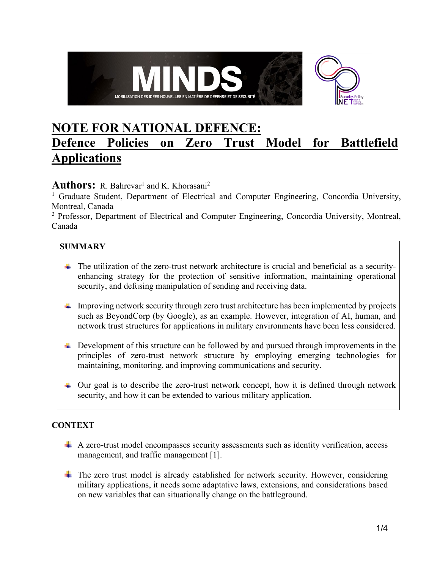

# **NOTE FOR NATIONAL DEFENCE: Defence Policies on Zero Trust Model for Battlefield Applications**

## Authors: R. Bahrevar<sup>1</sup> and K. Khorasani<sup>2</sup>

<sup>1</sup> Graduate Student, Department of Electrical and Computer Engineering, Concordia University, Montreal, Canada

<sup>2</sup> Professor, Department of Electrical and Computer Engineering, Concordia University, Montreal, Canada

## **SUMMARY**

- The utilization of the zero-trust network architecture is crucial and beneficial as a securityenhancing strategy for the protection of sensitive information, maintaining operational security, and defusing manipulation of sending and receiving data.
- $\Box$  Improving network security through zero trust architecture has been implemented by projects such as BeyondCorp (by Google), as an example. However, integration of AI, human, and network trust structures for applications in military environments have been less considered.
- $\perp$  Development of this structure can be followed by and pursued through improvements in the principles of zero-trust network structure by employing emerging technologies for maintaining, monitoring, and improving communications and security.
- $\perp$  Our goal is to describe the zero-trust network concept, how it is defined through network security, and how it can be extended to various military application.

## **CONTEXT**

- $\overline{+}$  A zero-trust model encompasses security assessments such as identity verification, access management, and traffic management [1].
- $\overline{\phantom{a}}$  The zero trust model is already established for network security. However, considering military applications, it needs some adaptative laws, extensions, and considerations based on new variables that can situationally change on the battleground.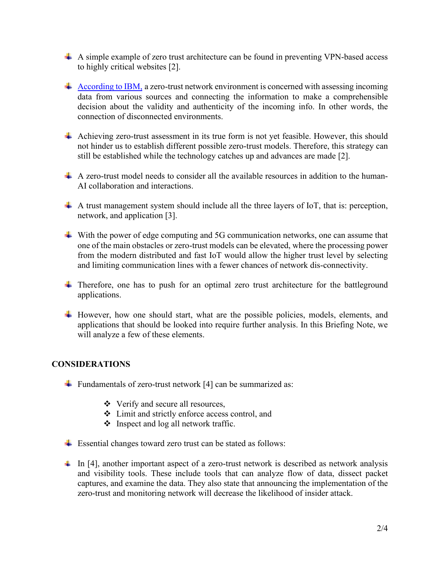- A simple example of zero trust architecture can be found in preventing VPN-based access to highly critical websites [2].
- $\overline{A}$  [According to IBM,](https://www.ibm.com/security/zero-trust) a zero-trust network environment is concerned with assessing incoming data from various sources and connecting the information to make a comprehensible decision about the validity and authenticity of the incoming info. In other words, the connection of disconnected environments.
- Achieving zero-trust assessment in its true form is not yet feasible. However, this should not hinder us to establish different possible zero-trust models. Therefore, this strategy can still be established while the technology catches up and advances are made [2].
- $\uparrow$  A zero-trust model needs to consider all the available resources in addition to the human-AI collaboration and interactions.
- $\overline{+}$  A trust management system should include all the three layers of IoT, that is: perception, network, and application [3].
- With the power of edge computing and 5G communication networks, one can assume that one of the main obstacles or zero-trust models can be elevated, where the processing power from the modern distributed and fast IoT would allow the higher trust level by selecting and limiting communication lines with a fewer chances of network dis-connectivity.
- $\ddot{\phantom{1}}$  Therefore, one has to push for an optimal zero trust architecture for the battleground applications.
- $\ddot{+}$  However, how one should start, what are the possible policies, models, elements, and applications that should be looked into require further analysis. In this Briefing Note, we will analyze a few of these elements.

#### **CONSIDERATIONS**

- Fundamentals of zero-trust network [4] can be summarized as:
	- Verify and secure all resources,
	- Limit and strictly enforce access control, and
	- $\bullet$  Inspect and log all network traffic.
- $\overline{\text{L}}$  Essential changes toward zero trust can be stated as follows:
- $\pm$  In [4], another important aspect of a zero-trust network is described as network analysis and visibility tools. These include tools that can analyze flow of data, dissect packet captures, and examine the data. They also state that announcing the implementation of the zero-trust and monitoring network will decrease the likelihood of insider attack.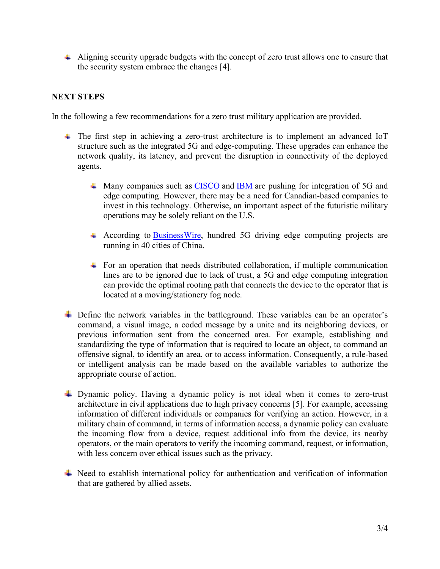$\overline{+}$  Aligning security upgrade budgets with the concept of zero trust allows one to ensure that the security system embrace the changes [4].

#### **NEXT STEPS**

In the following a few recommendations for a zero trust military application are provided.

- The first step in achieving a zero-trust architecture is to implement an advanced IoT structure such as the integrated 5G and edge-computing. These upgrades can enhance the network quality, its latency, and prevent the disruption in connectivity of the deployed agents.
	- $\textcolor{red}{\blacktriangle}$  Many companies such as [CISCO](https://www.cisco.com/c/en/us/solutions/enterprise-networks/edge-computing-architecture-5g.html) and [IBM](https://www.ibm.com/cloud/edge-computing) are pushing for integration of 5G and edge computing. However, there may be a need for Canadian-based companies to invest in this technology. Otherwise, an important aspect of the futuristic military operations may be solely reliant on the U.S.
	- According to **BusinessWire**, hundred 5G driving edge computing projects are running in 40 cities of China.
	- $\pm$  For an operation that needs distributed collaboration, if multiple communication lines are to be ignored due to lack of trust, a 5G and edge computing integration can provide the optimal rooting path that connects the device to the operator that is located at a moving/stationery fog node.
- $\overline{\phantom{a}}$  Define the network variables in the battleground. These variables can be an operator's command, a visual image, a coded message by a unite and its neighboring devices, or previous information sent from the concerned area. For example, establishing and standardizing the type of information that is required to locate an object, to command an offensive signal, to identify an area, or to access information. Consequently, a rule-based or intelligent analysis can be made based on the available variables to authorize the appropriate course of action.
- Dynamic policy. Having a dynamic policy is not ideal when it comes to zero-trust architecture in civil applications due to high privacy concerns [5]. For example, accessing information of different individuals or companies for verifying an action. However, in a military chain of command, in terms of information access, a dynamic policy can evaluate the incoming flow from a device, request additional info from the device, its nearby operators, or the main operators to verify the incoming command, request, or information, with less concern over ethical issues such as the privacy.
- Need to establish international policy for authentication and verification of information that are gathered by allied assets.